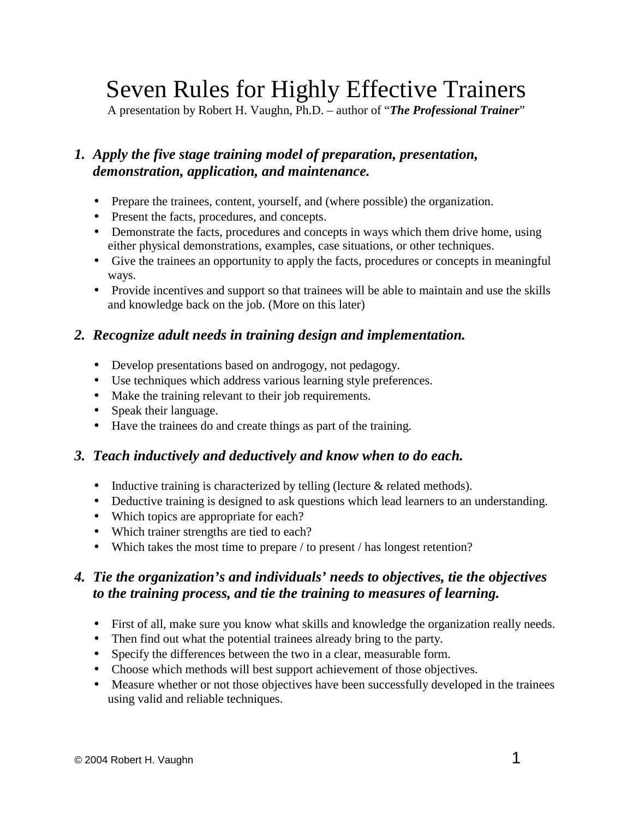# Seven Rules for Highly Effective Trainers

A presentation by Robert H. Vaughn, Ph.D. – author of "*The Professional Trainer*"

#### *1. Apply the five stage training model of preparation, presentation, demonstration, application, and maintenance.*

- Prepare the trainees, content, yourself, and (where possible) the organization.
- Present the facts, procedures, and concepts.
- Demonstrate the facts, procedures and concepts in ways which them drive home, using either physical demonstrations, examples, case situations, or other techniques.
- Give the trainees an opportunity to apply the facts, procedures or concepts in meaningful ways.
- Provide incentives and support so that trainees will be able to maintain and use the skills and knowledge back on the job. (More on this later)

#### *2. Recognize adult needs in training design and implementation.*

- Develop presentations based on androgogy, not pedagogy.
- Use techniques which address various learning style preferences.
- Make the training relevant to their job requirements.
- Speak their language.
- Have the trainees do and create things as part of the training.

#### *3. Teach inductively and deductively and know when to do each.*

- Inductive training is characterized by telling (lecture & related methods).
- Deductive training is designed to ask questions which lead learners to an understanding.
- Which topics are appropriate for each?
- Which trainer strengths are tied to each?
- Which takes the most time to prepare / to present / has longest retention?

#### *4. Tie the organization's and individuals' needs to objectives, tie the objectives to the training process, and tie the training to measures of learning.*

- First of all, make sure you know what skills and knowledge the organization really needs.
- Then find out what the potential trainees already bring to the party.
- Specify the differences between the two in a clear, measurable form.
- Choose which methods will best support achievement of those objectives.
- Measure whether or not those objectives have been successfully developed in the trainees using valid and reliable techniques.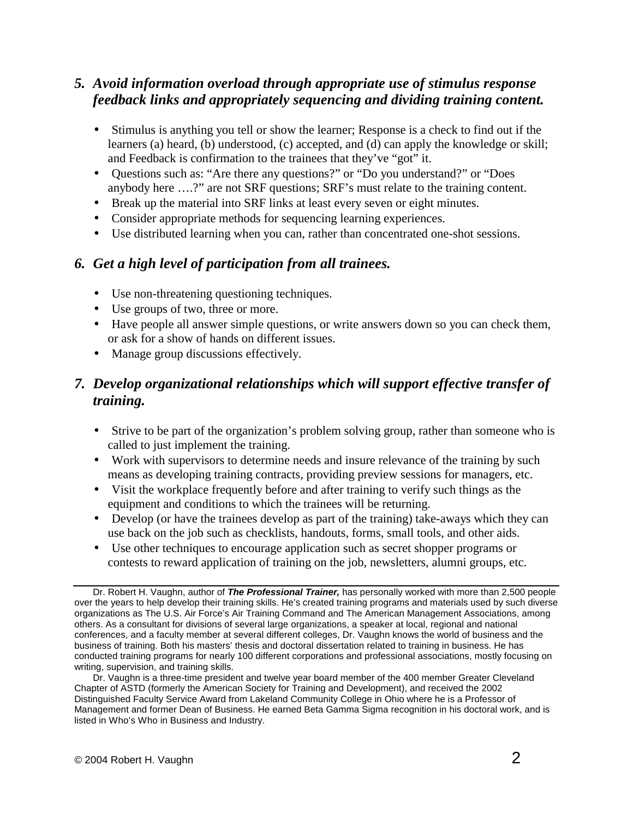#### *5. Avoid information overload through appropriate use of stimulus response feedback links and appropriately sequencing and dividing training content.*

- Stimulus is anything you tell or show the learner; Response is a check to find out if the learners (a) heard, (b) understood, (c) accepted, and (d) can apply the knowledge or skill; and Feedback is confirmation to the trainees that they've "got" it.
- Questions such as: "Are there any questions?" or "Do you understand?" or "Does anybody here ….?" are not SRF questions; SRF's must relate to the training content.
- Break up the material into SRF links at least every seven or eight minutes.
- Consider appropriate methods for sequencing learning experiences.
- Use distributed learning when you can, rather than concentrated one-shot sessions.

#### *6. Get a high level of participation from all trainees.*

- Use non-threatening questioning techniques.
- Use groups of two, three or more.
- Have people all answer simple questions, or write answers down so you can check them, or ask for a show of hands on different issues.
- Manage group discussions effectively.

#### *7. Develop organizational relationships which will support effective transfer of training.*

- Strive to be part of the organization's problem solving group, rather than someone who is called to just implement the training.
- Work with supervisors to determine needs and insure relevance of the training by such means as developing training contracts, providing preview sessions for managers, etc.
- Visit the workplace frequently before and after training to verify such things as the equipment and conditions to which the trainees will be returning.
- Develop (or have the trainees develop as part of the training) take-aways which they can use back on the job such as checklists, handouts, forms, small tools, and other aids.
- Use other techniques to encourage application such as secret shopper programs or contests to reward application of training on the job, newsletters, alumni groups, etc.

Dr. Robert H. Vaughn, author of *The Professional Trainer,* has personally worked with more than 2,500 people over the years to help develop their training skills. He's created training programs and materials used by such diverse organizations as The U.S. Air Force's Air Training Command and The American Management Associations, among others. As a consultant for divisions of several large organizations, a speaker at local, regional and national conferences, and a faculty member at several different colleges, Dr. Vaughn knows the world of business and the business of training. Both his masters' thesis and doctoral dissertation related to training in business. He has conducted training programs for nearly 100 different corporations and professional associations, mostly focusing on writing, supervision, and training skills.

Dr. Vaughn is a three-time president and twelve year board member of the 400 member Greater Cleveland Chapter of ASTD (formerly the American Society for Training and Development), and received the 2002 Distinguished Faculty Service Award from Lakeland Community College in Ohio where he is a Professor of Management and former Dean of Business. He earned Beta Gamma Sigma recognition in his doctoral work, and is listed in Who's Who in Business and Industry.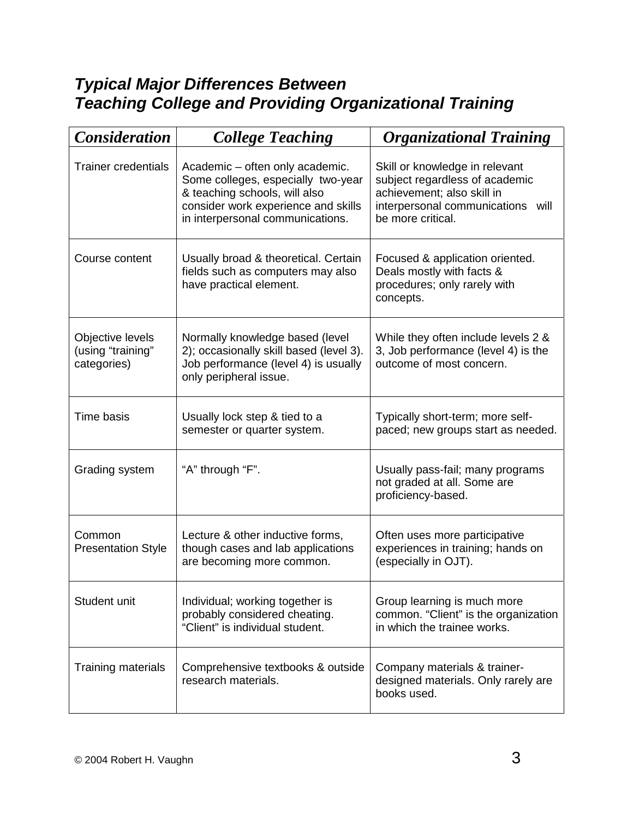### *Typical Major Differences Between Teaching College and Providing Organizational Training*

| <b>Consideration</b>                                 | <b>College Teaching</b>                                                                                                                                                           | <b>Organizational Training</b>                                                                                                                           |  |
|------------------------------------------------------|-----------------------------------------------------------------------------------------------------------------------------------------------------------------------------------|----------------------------------------------------------------------------------------------------------------------------------------------------------|--|
| <b>Trainer credentials</b>                           | Academic – often only academic.<br>Some colleges, especially two-year<br>& teaching schools, will also<br>consider work experience and skills<br>in interpersonal communications. | Skill or knowledge in relevant<br>subject regardless of academic<br>achievement; also skill in<br>interpersonal communications will<br>be more critical. |  |
| Course content                                       | Usually broad & theoretical. Certain<br>fields such as computers may also<br>have practical element.                                                                              | Focused & application oriented.<br>Deals mostly with facts &<br>procedures; only rarely with<br>concepts.                                                |  |
| Objective levels<br>(using "training"<br>categories) | Normally knowledge based (level<br>2); occasionally skill based (level 3).<br>Job performance (level 4) is usually<br>only peripheral issue.                                      | While they often include levels 2 &<br>3, Job performance (level 4) is the<br>outcome of most concern.                                                   |  |
| Time basis                                           | Usually lock step & tied to a<br>semester or quarter system.                                                                                                                      | Typically short-term; more self-<br>paced; new groups start as needed.                                                                                   |  |
| Grading system                                       | "A" through "F".                                                                                                                                                                  | Usually pass-fail; many programs<br>not graded at all. Some are<br>proficiency-based.                                                                    |  |
| Common<br><b>Presentation Style</b>                  | Lecture & other inductive forms,<br>though cases and lab applications<br>are becoming more common.                                                                                | Often uses more participative<br>experiences in training; hands on<br>(especially in OJT).                                                               |  |
| Student unit                                         | Individual; working together is<br>probably considered cheating.<br>"Client" is individual student.                                                                               | Group learning is much more<br>common. "Client" is the organization<br>in which the trainee works.                                                       |  |
| Training materials                                   | Comprehensive textbooks & outside<br>research materials.                                                                                                                          | Company materials & trainer-<br>designed materials. Only rarely are<br>books used.                                                                       |  |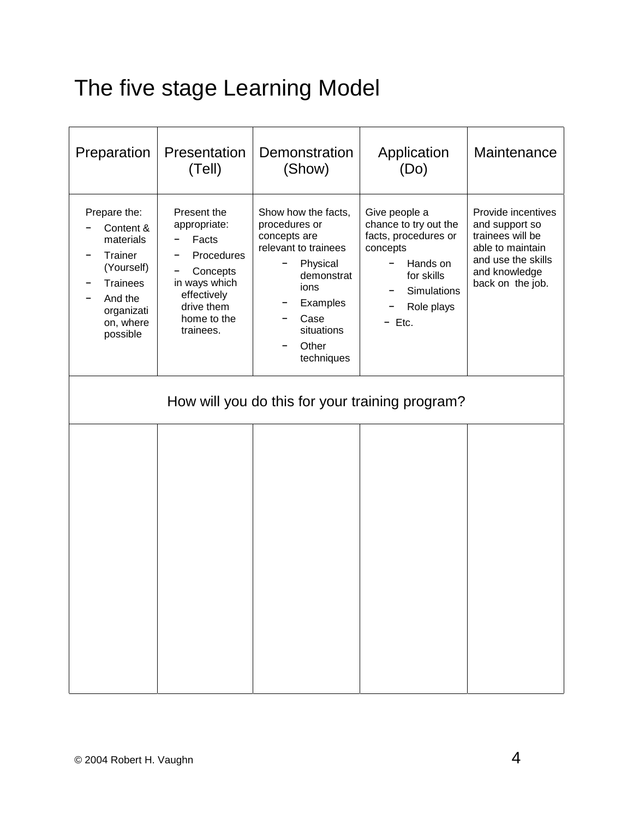# The five stage Learning Model

| Preparation                                                                                                                          | Presentation<br>(Tell)                                                                                                                   | Demonstration<br>(Show)                                                                                                                                                 | Application<br>(Do)                                                                                                                                  | Maintenance                                                                                                                             |
|--------------------------------------------------------------------------------------------------------------------------------------|------------------------------------------------------------------------------------------------------------------------------------------|-------------------------------------------------------------------------------------------------------------------------------------------------------------------------|------------------------------------------------------------------------------------------------------------------------------------------------------|-----------------------------------------------------------------------------------------------------------------------------------------|
| Prepare the:<br>Content &<br>materials<br>Trainer<br>(Yourself)<br><b>Trainees</b><br>And the<br>organizati<br>on, where<br>possible | Present the<br>appropriate:<br>Facts<br>Procedures<br>Concepts<br>in ways which<br>effectively<br>drive them<br>home to the<br>trainees. | Show how the facts,<br>procedures or<br>concepts are<br>relevant to trainees<br>Physical<br>demonstrat<br>ions<br>Examples<br>Case<br>situations<br>Other<br>techniques | Give people a<br>chance to try out the<br>facts, procedures or<br>concepts<br>Hands on<br>for skills<br><b>Simulations</b><br>Role plays<br>$-$ Etc. | Provide incentives<br>and support so<br>trainees will be<br>able to maintain<br>and use the skills<br>and knowledge<br>back on the job. |
| How will you do this for your training program?                                                                                      |                                                                                                                                          |                                                                                                                                                                         |                                                                                                                                                      |                                                                                                                                         |
|                                                                                                                                      |                                                                                                                                          |                                                                                                                                                                         |                                                                                                                                                      |                                                                                                                                         |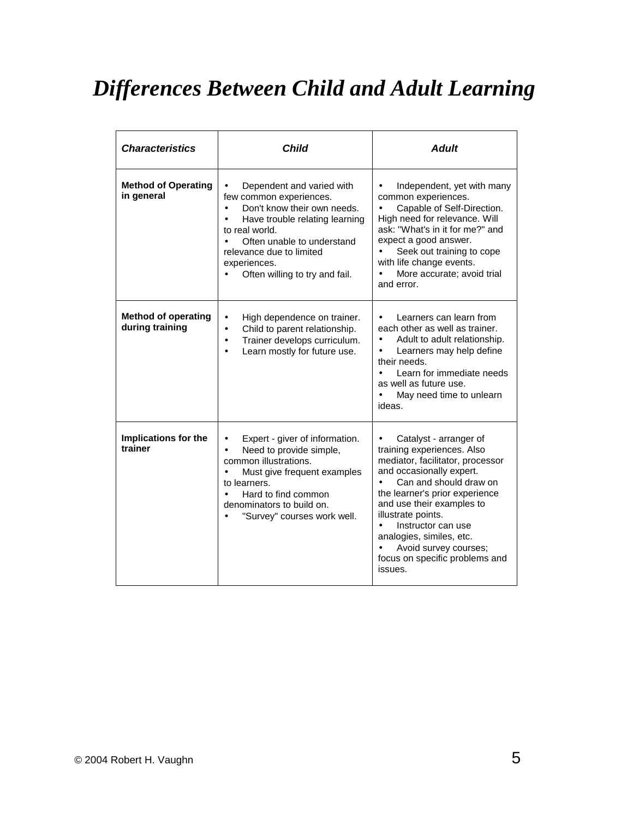## *Differences Between Child and Adult Learning*

| <b>Characteristics</b>                        | <b>Child</b>                                                                                                                                                                                                                                                                               | <b>Adult</b>                                                                                                                                                                                                                                                                                                                                                             |  |
|-----------------------------------------------|--------------------------------------------------------------------------------------------------------------------------------------------------------------------------------------------------------------------------------------------------------------------------------------------|--------------------------------------------------------------------------------------------------------------------------------------------------------------------------------------------------------------------------------------------------------------------------------------------------------------------------------------------------------------------------|--|
| <b>Method of Operating</b><br>in general      | Dependent and varied with<br>$\bullet$<br>few common experiences.<br>Don't know their own needs.<br>$\bullet$<br>Have trouble relating learning<br>$\bullet$<br>to real world.<br>Often unable to understand<br>relevance due to limited<br>experiences.<br>Often willing to try and fail. | Independent, yet with many<br>common experiences.<br>Capable of Self-Direction.<br>$\bullet$<br>High need for relevance. Will<br>ask: "What's in it for me?" and<br>expect a good answer.<br>Seek out training to cope<br>with life change events.<br>More accurate; avoid trial<br>$\bullet$<br>and error.                                                              |  |
| <b>Method of operating</b><br>during training | High dependence on trainer.<br>$\bullet$<br>Child to parent relationship.<br>$\bullet$<br>Trainer develops curriculum.<br>$\bullet$<br>Learn mostly for future use.<br>$\bullet$                                                                                                           | Learners can learn from<br>each other as well as trainer.<br>Adult to adult relationship.<br>Learners may help define<br>their needs.<br>Learn for immediate needs<br>as well as future use.<br>May need time to unlearn<br>ideas.                                                                                                                                       |  |
| Implications for the<br>trainer               | Expert - giver of information.<br>$\bullet$<br>Need to provide simple,<br>$\bullet$<br>common illustrations.<br>Must give frequent examples<br>$\bullet$<br>to learners.<br>Hard to find common<br>$\bullet$<br>denominators to build on.<br>"Survey" courses work well.                   | Catalyst - arranger of<br>training experiences. Also<br>mediator, facilitator, processor<br>and occasionally expert.<br>Can and should draw on<br>$\bullet$<br>the learner's prior experience<br>and use their examples to<br>illustrate points.<br>Instructor can use<br>analogies, similes, etc.<br>Avoid survey courses;<br>focus on specific problems and<br>issues. |  |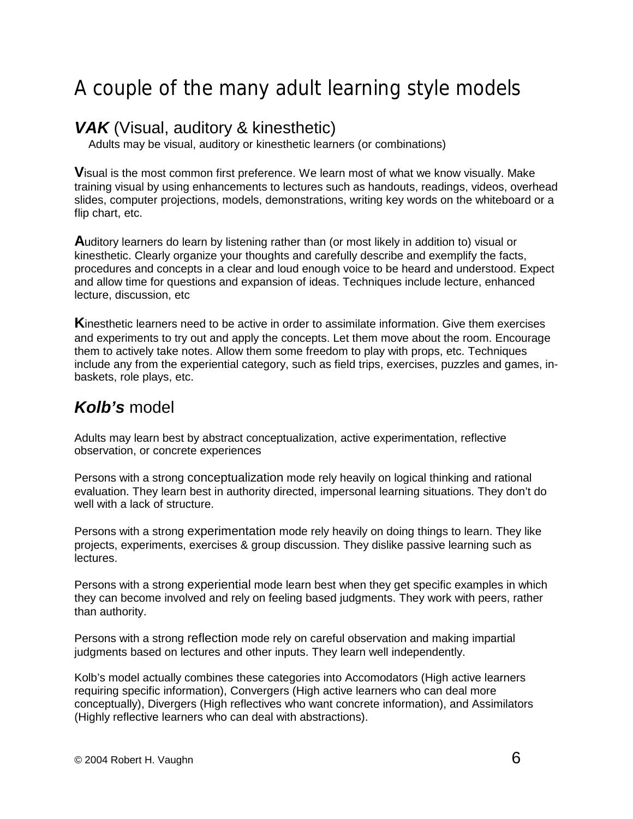## A couple of the many adult learning style models

#### *VAK* (Visual, auditory & kinesthetic)

Adults may be visual, auditory or kinesthetic learners (or combinations)

**V**isual is the most common first preference. We learn most of what we know visually. Make training visual by using enhancements to lectures such as handouts, readings, videos, overhead slides, computer projections, models, demonstrations, writing key words on the whiteboard or a flip chart, etc.

**A**uditory learners do learn by listening rather than (or most likely in addition to) visual or kinesthetic. Clearly organize your thoughts and carefully describe and exemplify the facts, procedures and concepts in a clear and loud enough voice to be heard and understood. Expect and allow time for questions and expansion of ideas. Techniques include lecture, enhanced lecture, discussion, etc

**K**inesthetic learners need to be active in order to assimilate information. Give them exercises and experiments to try out and apply the concepts. Let them move about the room. Encourage them to actively take notes. Allow them some freedom to play with props, etc. Techniques include any from the experiential category, such as field trips, exercises, puzzles and games, inbaskets, role plays, etc.

#### *Kolb's* model

Adults may learn best by abstract conceptualization, active experimentation, reflective observation, or concrete experiences

Persons with a strong conceptualization mode rely heavily on logical thinking and rational evaluation. They learn best in authority directed, impersonal learning situations. They don't do well with a lack of structure.

Persons with a strong experimentation mode rely heavily on doing things to learn. They like projects, experiments, exercises & group discussion. They dislike passive learning such as lectures.

Persons with a strong experiential mode learn best when they get specific examples in which they can become involved and rely on feeling based judgments. They work with peers, rather than authority.

Persons with a strong reflection mode rely on careful observation and making impartial judgments based on lectures and other inputs. They learn well independently.

Kolb's model actually combines these categories into Accomodators (High active learners requiring specific information), Convergers (High active learners who can deal more conceptually), Divergers (High reflectives who want concrete information), and Assimilators (Highly reflective learners who can deal with abstractions).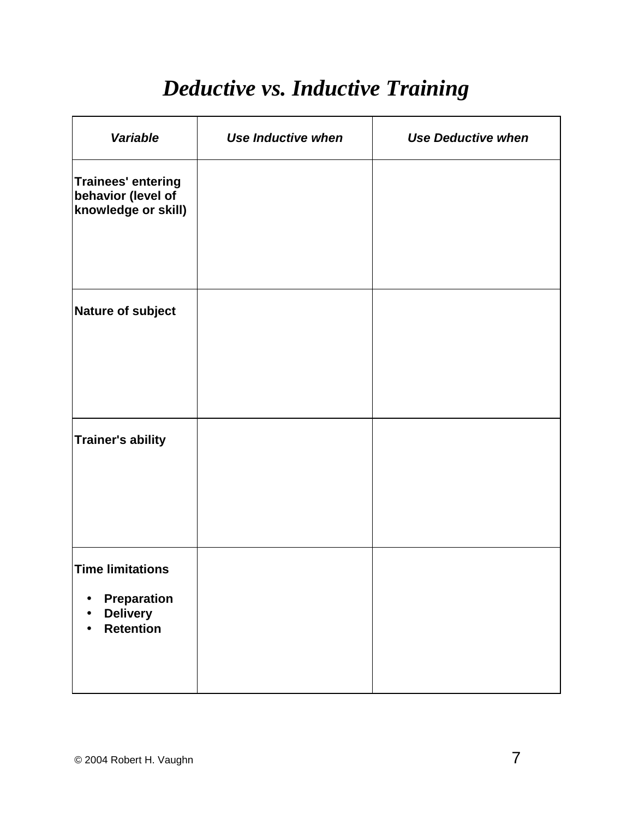## *Deductive vs. Inductive Training*

| <b>Variable</b>                                                                                                | <b>Use Inductive when</b> | <b>Use Deductive when</b> |
|----------------------------------------------------------------------------------------------------------------|---------------------------|---------------------------|
| <b>Trainees' entering</b><br>behavior (level of<br>knowledge or skill)                                         |                           |                           |
| Nature of subject                                                                                              |                           |                           |
| <b>Trainer's ability</b>                                                                                       |                           |                           |
| <b>Time limitations</b><br><b>Preparation</b><br>$\bullet$<br><b>Delivery</b><br>$\bullet$<br><b>Retention</b> |                           |                           |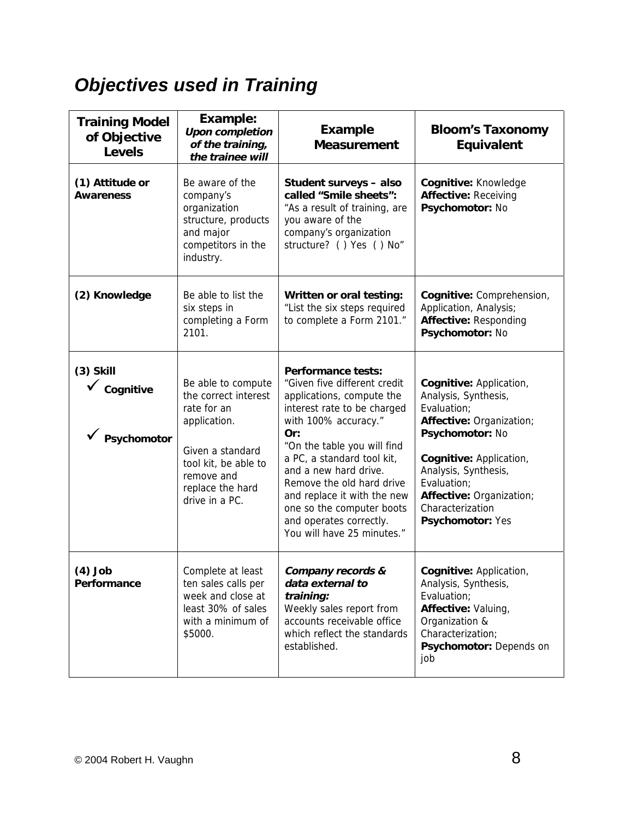## *Objectives used in Training*

| <b>Training Model</b><br>of Objective<br>Levels      | Example:<br><b>Upon completion</b><br>of the training,<br>the trainee will                                                                                                | Example<br><b>Measurement</b>                                                                                                                                                                                                                                                                                                                                                         | <b>Bloom's Taxonomy</b><br>Equivalent                                                                                                                                                                                                               |
|------------------------------------------------------|---------------------------------------------------------------------------------------------------------------------------------------------------------------------------|---------------------------------------------------------------------------------------------------------------------------------------------------------------------------------------------------------------------------------------------------------------------------------------------------------------------------------------------------------------------------------------|-----------------------------------------------------------------------------------------------------------------------------------------------------------------------------------------------------------------------------------------------------|
| (1) Attitude or<br><b>Awareness</b>                  | Be aware of the<br>company's<br>organization<br>structure, products<br>and major<br>competitors in the<br>industry.                                                       | Student surveys - also<br>called "Smile sheets":<br>"As a result of training, are<br>you aware of the<br>company's organization<br>structure? () Yes () No"                                                                                                                                                                                                                           | Cognitive: Knowledge<br>Affective: Receiving<br>Psychomotor: No                                                                                                                                                                                     |
| (2) Knowledge                                        | Be able to list the<br>six steps in<br>completing a Form<br>2101.                                                                                                         | Written or oral testing:<br>"List the six steps required<br>to complete a Form 2101."                                                                                                                                                                                                                                                                                                 | Cognitive: Comprehension,<br>Application, Analysis;<br>Affective: Responding<br>Psychomotor: No                                                                                                                                                     |
| $(3)$ Skill<br>$\checkmark$ Cognitive<br>Psychomotor | Be able to compute<br>the correct interest<br>rate for an<br>application.<br>Given a standard<br>tool kit, be able to<br>remove and<br>replace the hard<br>drive in a PC. | Performance tests:<br>"Given five different credit<br>applications, compute the<br>interest rate to be charged<br>with 100% accuracy."<br>Or:<br>"On the table you will find<br>a PC, a standard tool kit,<br>and a new hard drive.<br>Remove the old hard drive<br>and replace it with the new<br>one so the computer boots<br>and operates correctly.<br>You will have 25 minutes." | Cognitive: Application,<br>Analysis, Synthesis,<br>Evaluation;<br>Affective: Organization;<br>Psychomotor: No<br>Cognitive: Application,<br>Analysis, Synthesis,<br>Evaluation;<br>Affective: Organization;<br>Characterization<br>Psychomotor: Yes |
| $(4)$ Job<br>Performance                             | Complete at least<br>ten sales calls per<br>week and close at<br>least 30% of sales<br>with a minimum of<br>\$5000.                                                       | Company records &<br>data external to<br>training:<br>Weekly sales report from<br>accounts receivable office<br>which reflect the standards<br>established.                                                                                                                                                                                                                           | Cognitive: Application,<br>Analysis, Synthesis,<br>Evaluation;<br>Affective: Valuing,<br>Organization &<br>Characterization;<br>Psychomotor: Depends on<br>job                                                                                      |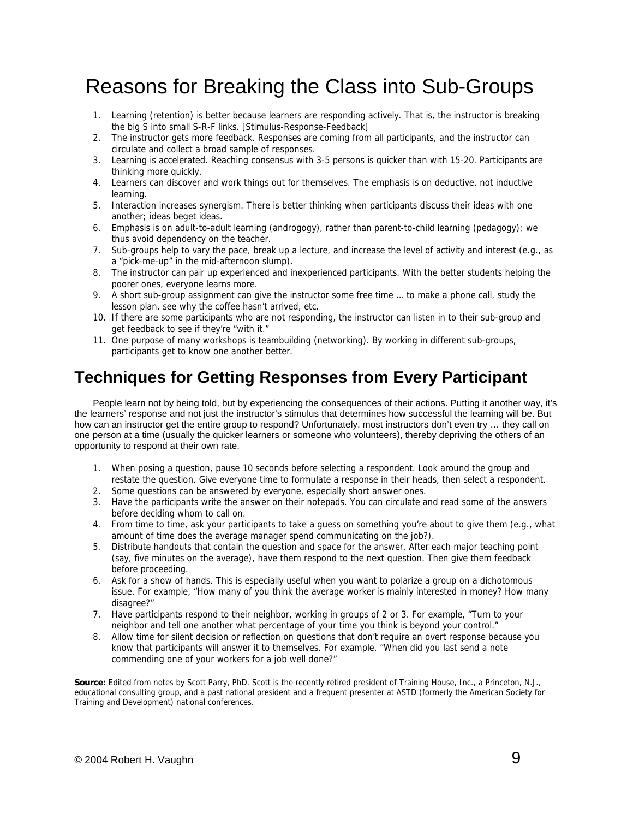### Reasons for Breaking the Class into Sub-Groups

- 1. Learning (retention) is better because learners are responding actively. That is, the instructor is breaking the big S into small S-R-F links. [Stimulus-Response-Feedback]
- 2. The instructor gets more feedback. Responses are coming from all participants, and the instructor can circulate and collect a broad sample of responses.
- 3. Learning is accelerated. Reaching consensus with 3-5 persons is quicker than with 15-20. Participants are thinking more quickly.
- 4. Learners can discover and work things out for themselves. The emphasis is on deductive, not inductive learning.
- 5. Interaction increases synergism. There is better thinking when participants discuss their ideas with one another; ideas beget ideas.
- 6. Emphasis is on adult-to-adult learning (androgogy), rather than parent-to-child learning (pedagogy); we thus avoid dependency on the teacher.
- 7. Sub-groups help to vary the pace, break up a lecture, and increase the level of activity and interest (e.g., as a "pick-me-up" in the mid-afternoon slump).
- 8. The instructor can pair up experienced and inexperienced participants. With the better students helping the poorer ones, everyone learns more.
- 9. A short sub-group assignment can give the instructor some free time ... to make a phone call, study the lesson plan, see why the coffee hasn't arrived, etc.
- 10. If there are some participants who are not responding, the instructor can listen in to their sub-group and get feedback to see if they're "with it."
- 11. One purpose of many workshops is teambuilding (networking). By working in different sub-groups, participants get to know one another better.

### **Techniques for Getting Responses from Every Participant**

People learn not by being told, but by experiencing the consequences of their actions. Putting it another way, it's the learners' response and not just the instructor's stimulus that determines how successful the learning will be. But how can an instructor get the entire group to respond? Unfortunately, most instructors don't even try ... they call on one person at a time (usually the quicker learners or someone who volunteers), thereby depriving the others of an opportunity to respond at their own rate.

- 1. When posing a question, pause 10 seconds before selecting a respondent. Look around the group and restate the question. Give everyone time to formulate a response in their heads, then select a respondent.
- 2. Some questions can be answered by everyone, especially short answer ones.
- 3. Have the participants write the answer on their notepads. You can circulate and read some of the answers before deciding whom to call on.
- 4. From time to time, ask your participants to take a guess on something you're about to give them (e.g., what amount of time does the average manager spend communicating on the job?).
- 5. Distribute handouts that contain the question and space for the answer. After each major teaching point (say, five minutes on the average), have them respond to the next question. Then give them feedback before proceeding.
- 6. Ask for a show of hands. This is especially useful when you want to polarize a group on a dichotomous issue. For example, "How many of you think the average worker is mainly interested in money? How many disagree?"
- 7. Have participants respond to their neighbor, working in groups of 2 or 3. For example, "Turn to your neighbor and tell one another what percentage of your time you think is beyond your control."
- 8. Allow time for silent decision or reflection on questions that don't require an overt response because you know that participants will answer it to themselves. For example, "When did you last send a note commending one of your workers for a job well done?"

**Source:** Edited from notes by Scott Parry, PhD. Scott is the recently retired president of Training House, Inc., a Princeton, N.J., educational consulting group, and a past national president and a frequent presenter at ASTD (formerly the American Society for Training and Development) national conferences.